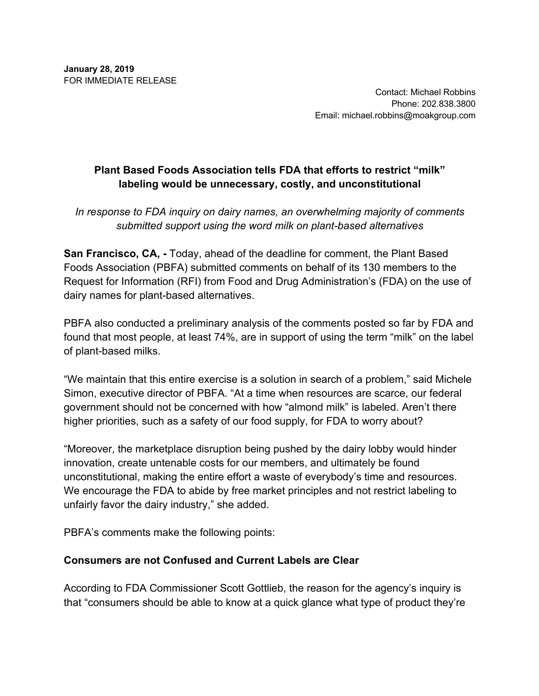Contact: Michael Robbins Phone: 202.838.3800 Email: michael.robbins@moakgroup.com

# **Plant Based Foods Association tells FDA that efforts to restrict "milk" labeling would be unnecessary, costly, and unconstitutional**

*In response to FDA inquiry on dairy names, an overwhelming majority of comments submitted support using the word milk on plant-based alternatives* 

**San Francisco, CA, -** Today, ahead of the deadline for comment, the Plant Based Foods Association (PBFA) submitted comments on behalf of its 130 members to the Request for Information (RFI) from Food and Drug Administration's (FDA) on the use of dairy names for plant-based alternatives.

PBFA also conducted a preliminary analysis of the comments posted so far by FDA and found that most people, at least 74%, are in support of using the term "milk" on the label of plant-based milks.

"We maintain that this entire exercise is a solution in search of a problem," said Michele Simon, executive director of PBFA. "At a time when resources are scarce, our federal government should not be concerned with how "almond milk" is labeled. Aren't there higher priorities, such as a safety of our food supply, for FDA to worry about?

"Moreover, the marketplace disruption being pushed by the dairy lobby would hinder innovation, create untenable costs for our members, and ultimately be found unconstitutional, making the entire effort a waste of everybody's time and resources. We encourage the FDA to abide by free market principles and not restrict labeling to unfairly favor the dairy industry," she added.

PBFA's comments make the following points:

#### **Consumers are not Confused and Current Labels are Clear**

According to FDA Commissioner Scott Gottlieb, the reason for the agency's inquiry is that "consumers should be able to know at a quick glance what type of product they're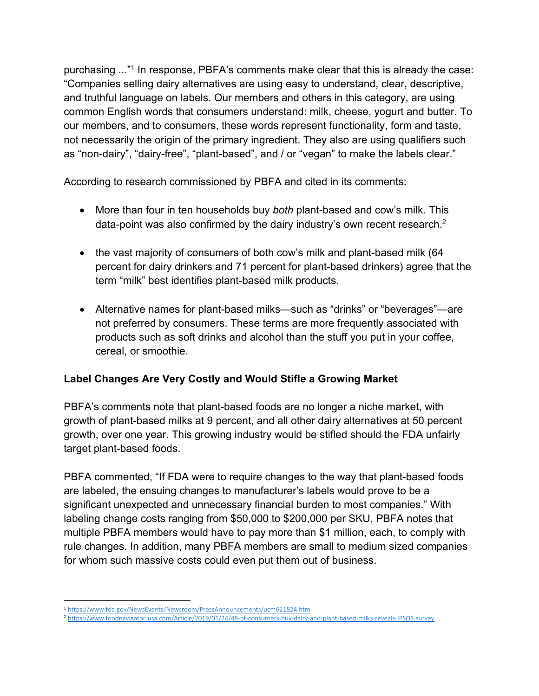purchasing ..."1 In response, PBFA's comments make clear that this is already the case: "Companies selling dairy alternatives are using easy to understand, clear, descriptive, and truthful language on labels. Our members and others in this category, are using common English words that consumers understand: milk, cheese, yogurt and butter. To our members, and to consumers, these words represent functionality, form and taste, not necessarily the origin of the primary ingredient. They also are using qualifiers such as "non-dairy", "dairy-free", "plant-based", and / or "vegan" to make the labels clear."

According to research commissioned by PBFA and cited in its comments:

- More than four in ten households buy *both* plant-based and cow's milk. This data-point was also confirmed by the dairy industry's own recent research.<sup>2</sup>
- the vast majority of consumers of both cow's milk and plant-based milk (64) percent for dairy drinkers and 71 percent for plant-based drinkers) agree that the term "milk" best identifies plant-based milk products.
- Alternative names for plant-based milks—such as "drinks" or "beverages"—are not preferred by consumers. These terms are more frequently associated with products such as soft drinks and alcohol than the stuff you put in your coffee, cereal, or smoothie.

## **Label Changes Are Very Costly and Would Stifle a Growing Market**

PBFA's comments note that plant-based foods are no longer a niche market, with growth of plant-based milks at 9 percent, and all other dairy alternatives at 50 percent growth, over one year. This growing industry would be stifled should the FDA unfairly target plant-based foods.

PBFA commented, "If FDA were to require changes to the way that plant-based foods are labeled, the ensuing changes to manufacturer's labels would prove to be a significant unexpected and unnecessary financial burden to most companies." With labeling change costs ranging from \$50,000 to \$200,000 per SKU, PBFA notes that multiple PBFA members would have to pay more than \$1 million, each, to comply with rule changes. In addition, many PBFA members are small to medium sized companies for whom such massive costs could even put them out of business.

 <sup>1</sup> https://www.fda.gov/NewsEvents/Newsroom/PressAnnouncements/ucm621824.htm

<sup>2</sup> https://www.foodnavigator-usa.com/Article/2019/01/24/48-of-consumers-buy-dairy-and-plant-based-milks-reveals-IPSOS-survey